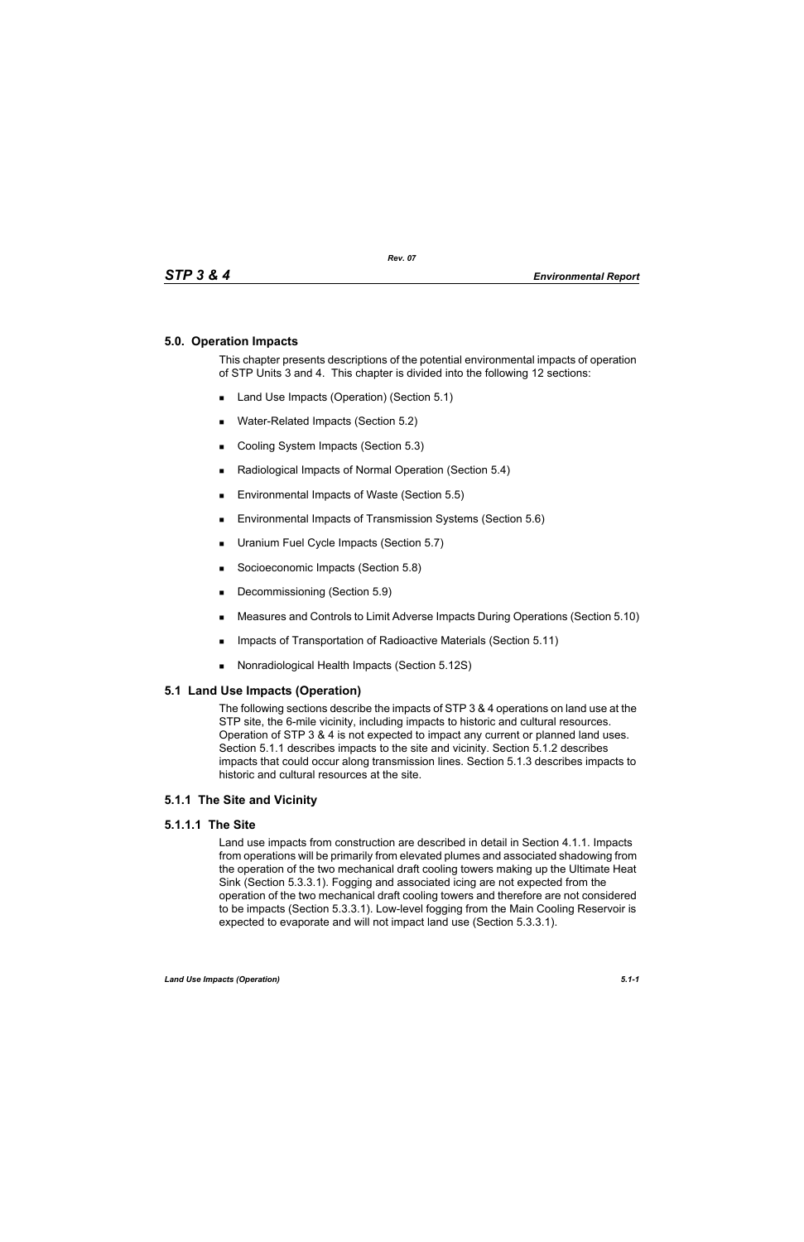## **5.0. Operation Impacts**

This chapter presents descriptions of the potential environmental impacts of operation of STP Units 3 and 4. This chapter is divided into the following 12 sections:

- Land Use Impacts (Operation) (Section 5.1)
- **Water-Related Impacts (Section 5.2)**
- Cooling System Impacts (Section 5.3)
- Radiological Impacts of Normal Operation (Section 5.4)
- Environmental Impacts of Waste (Section 5.5)
- **Environmental Impacts of Transmission Systems (Section 5.6)**
- **Uranium Fuel Cycle Impacts (Section 5.7)**
- Socioeconomic Impacts (Section 5.8)
- Decommissioning (Section 5.9)
- Measures and Controls to Limit Adverse Impacts During Operations (Section 5.10)
- **IMPACTER 15 Impacts of Transportation of Radioactive Materials (Section 5.11)**
- Nonradiological Health Impacts (Section 5.12S)

### **5.1 Land Use Impacts (Operation)**

The following sections describe the impacts of STP 3 & 4 operations on land use at the STP site, the 6-mile vicinity, including impacts to historic and cultural resources. Operation of STP 3 & 4 is not expected to impact any current or planned land uses. Section 5.1.1 describes impacts to the site and vicinity. Section 5.1.2 describes impacts that could occur along transmission lines. Section 5.1.3 describes impacts to historic and cultural resources at the site.

## **5.1.1 The Site and Vicinity**

### **5.1.1.1 The Site**

Land use impacts from construction are described in detail in Section 4.1.1. Impacts from operations will be primarily from elevated plumes and associated shadowing from the operation of the two mechanical draft cooling towers making up the Ultimate Heat Sink (Section 5.3.3.1). Fogging and associated icing are not expected from the operation of the two mechanical draft cooling towers and therefore are not considered to be impacts (Section 5.3.3.1). Low-level fogging from the Main Cooling Reservoir is expected to evaporate and will not impact land use (Section 5.3.3.1).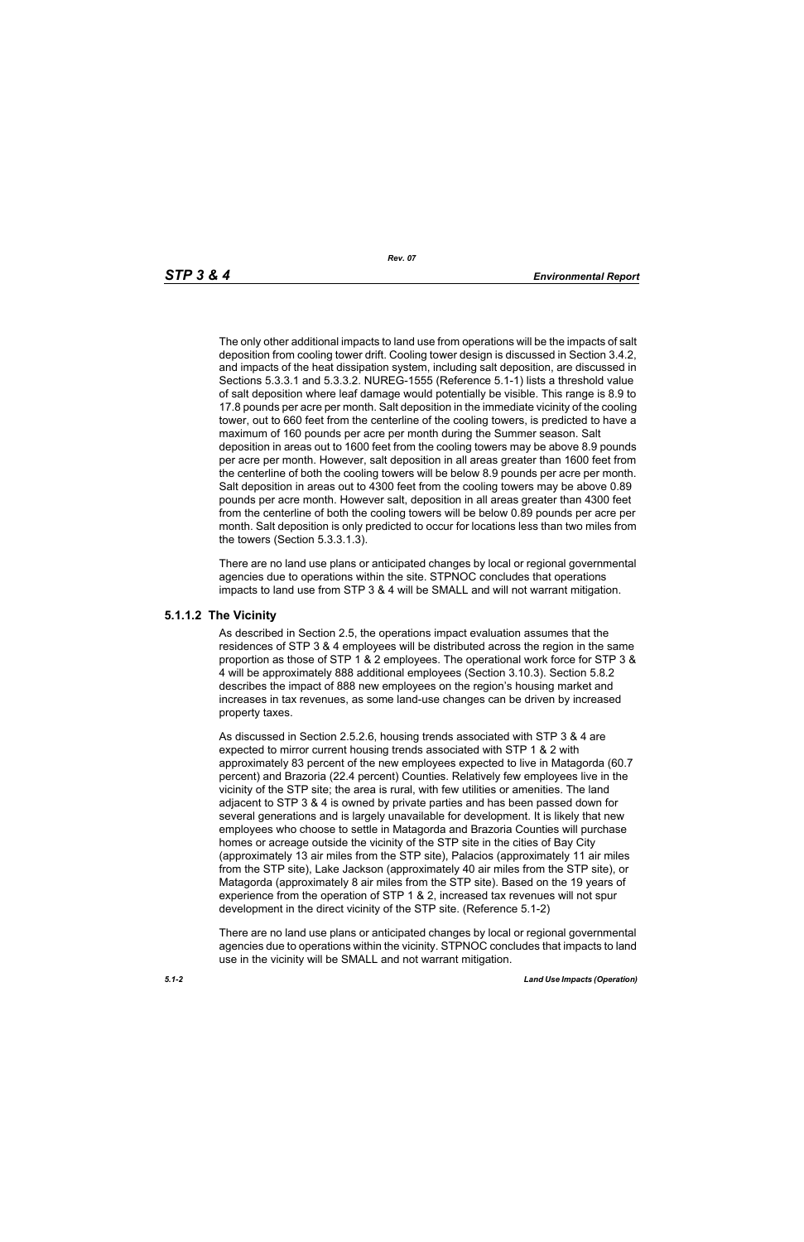The only other additional impacts to land use from operations will be the impacts of salt deposition from cooling tower drift. Cooling tower design is discussed in Section 3.4.2, and impacts of the heat dissipation system, including salt deposition, are discussed in Sections 5.3.3.1 and 5.3.3.2. NUREG-1555 (Reference 5.1-1) lists a threshold value of salt deposition where leaf damage would potentially be visible. This range is 8.9 to 17.8 pounds per acre per month. Salt deposition in the immediate vicinity of the cooling tower, out to 660 feet from the centerline of the cooling towers, is predicted to have a maximum of 160 pounds per acre per month during the Summer season. Salt deposition in areas out to 1600 feet from the cooling towers may be above 8.9 pounds per acre per month. However, salt deposition in all areas greater than 1600 feet from the centerline of both the cooling towers will be below 8.9 pounds per acre per month. Salt deposition in areas out to 4300 feet from the cooling towers may be above 0.89 pounds per acre month. However salt, deposition in all areas greater than 4300 feet from the centerline of both the cooling towers will be below 0.89 pounds per acre per month. Salt deposition is only predicted to occur for locations less than two miles from the towers (Section 5.3.3.1.3).

There are no land use plans or anticipated changes by local or regional governmental agencies due to operations within the site. STPNOC concludes that operations impacts to land use from STP 3 & 4 will be SMALL and will not warrant mitigation.

#### **5.1.1.2 The Vicinity**

As described in Section 2.5, the operations impact evaluation assumes that the residences of STP 3 & 4 employees will be distributed across the region in the same proportion as those of STP 1 & 2 employees. The operational work force for STP 3 & 4 will be approximately 888 additional employees (Section 3.10.3). Section 5.8.2 describes the impact of 888 new employees on the region's housing market and increases in tax revenues, as some land-use changes can be driven by increased property taxes.

As discussed in Section 2.5.2.6, housing trends associated with STP 3 & 4 are expected to mirror current housing trends associated with STP 1 & 2 with approximately 83 percent of the new employees expected to live in Matagorda (60.7 percent) and Brazoria (22.4 percent) Counties. Relatively few employees live in the vicinity of the STP site; the area is rural, with few utilities or amenities. The land adjacent to STP 3 & 4 is owned by private parties and has been passed down for several generations and is largely unavailable for development. It is likely that new employees who choose to settle in Matagorda and Brazoria Counties will purchase homes or acreage outside the vicinity of the STP site in the cities of Bay City (approximately 13 air miles from the STP site), Palacios (approximately 11 air miles from the STP site), Lake Jackson (approximately 40 air miles from the STP site), or Matagorda (approximately 8 air miles from the STP site). Based on the 19 years of experience from the operation of STP 1 & 2, increased tax revenues will not spur development in the direct vicinity of the STP site. (Reference 5.1-2)

There are no land use plans or anticipated changes by local or regional governmental agencies due to operations within the vicinity. STPNOC concludes that impacts to land use in the vicinity will be SMALL and not warrant mitigation.